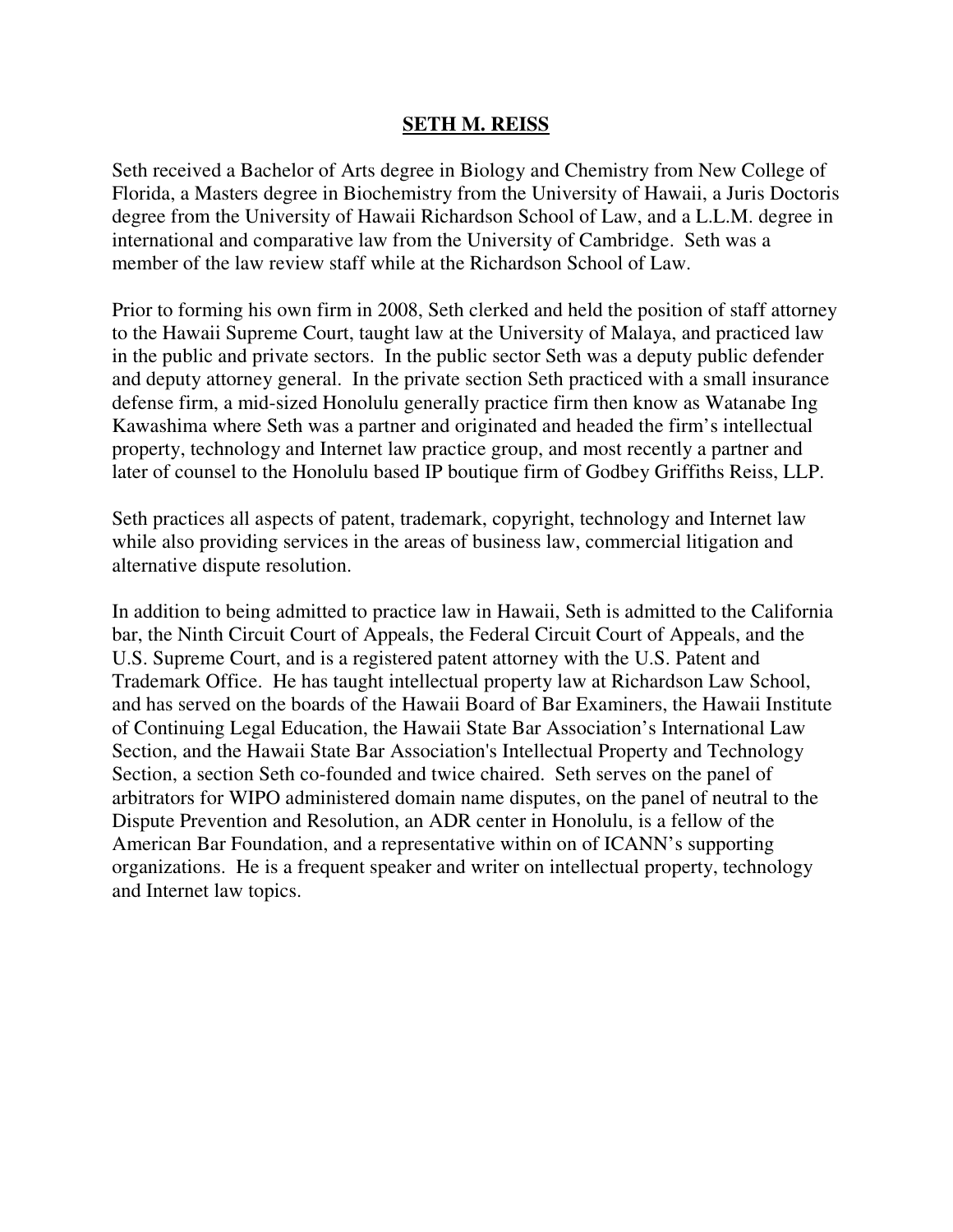# **SETH M. REISS**

Seth received a Bachelor of Arts degree in Biology and Chemistry from New College of Florida, a Masters degree in Biochemistry from the University of Hawaii, a Juris Doctoris degree from the University of Hawaii Richardson School of Law, and a L.L.M. degree in international and comparative law from the University of Cambridge. Seth was a member of the law review staff while at the Richardson School of Law.

Prior to forming his own firm in 2008, Seth clerked and held the position of staff attorney to the Hawaii Supreme Court, taught law at the University of Malaya, and practiced law in the public and private sectors. In the public sector Seth was a deputy public defender and deputy attorney general. In the private section Seth practiced with a small insurance defense firm, a mid-sized Honolulu generally practice firm then know as Watanabe Ing Kawashima where Seth was a partner and originated and headed the firm's intellectual property, technology and Internet law practice group, and most recently a partner and later of counsel to the Honolulu based IP boutique firm of Godbey Griffiths Reiss, LLP.

Seth practices all aspects of patent, trademark, copyright, technology and Internet law while also providing services in the areas of business law, commercial litigation and alternative dispute resolution.

In addition to being admitted to practice law in Hawaii, Seth is admitted to the California bar, the Ninth Circuit Court of Appeals, the Federal Circuit Court of Appeals, and the U.S. Supreme Court, and is a registered patent attorney with the U.S. Patent and Trademark Office. He has taught intellectual property law at Richardson Law School, and has served on the boards of the Hawaii Board of Bar Examiners, the Hawaii Institute of Continuing Legal Education, the Hawaii State Bar Association's International Law Section, and the Hawaii State Bar Association's Intellectual Property and Technology Section, a section Seth co-founded and twice chaired. Seth serves on the panel of arbitrators for WIPO administered domain name disputes, on the panel of neutral to the Dispute Prevention and Resolution, an ADR center in Honolulu, is a fellow of the American Bar Foundation, and a representative within on of ICANN's supporting organizations. He is a frequent speaker and writer on intellectual property, technology and Internet law topics.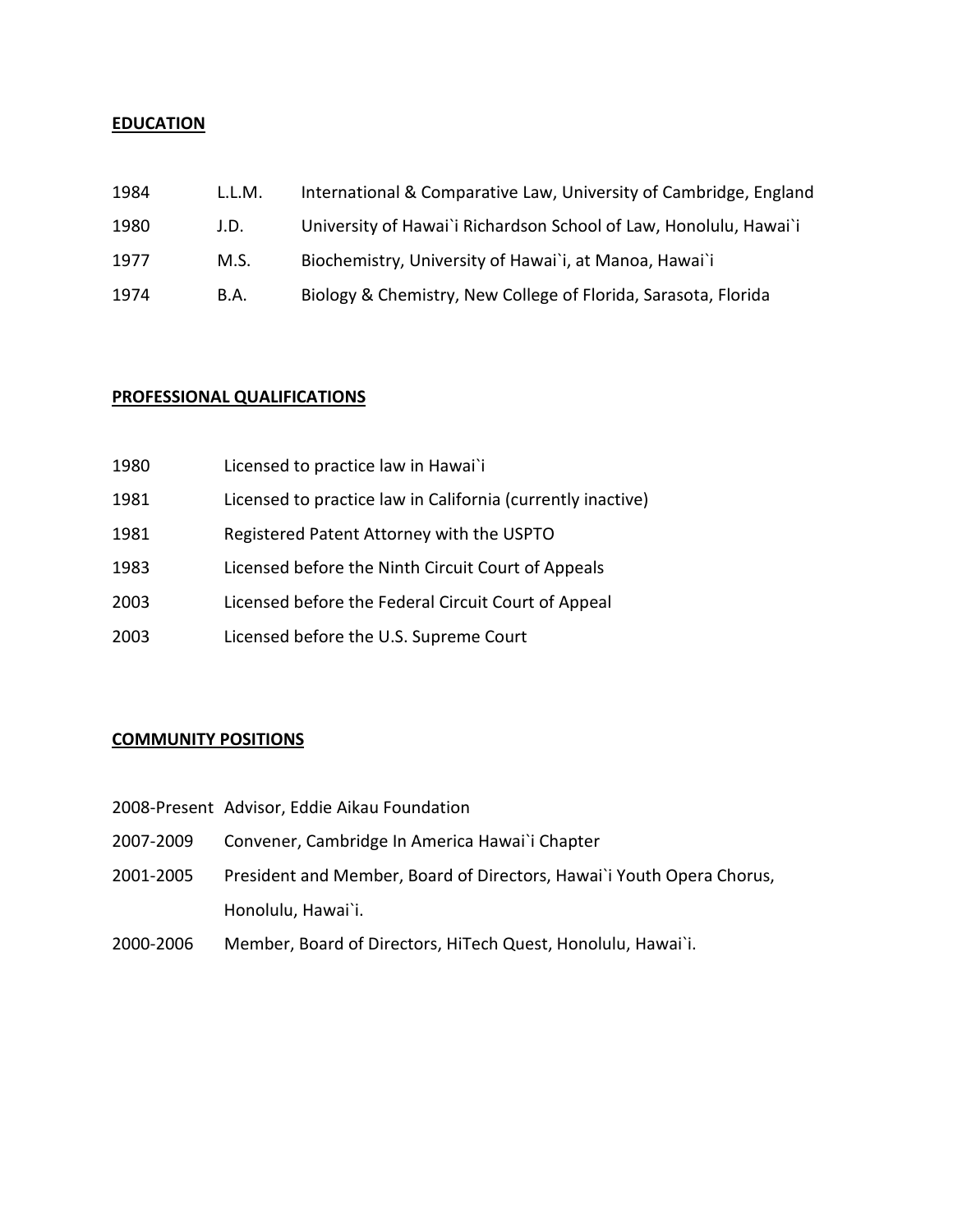### **EDUCATION**

| 1984 | L.L.M. | International & Comparative Law, University of Cambridge, England |
|------|--------|-------------------------------------------------------------------|
| 1980 | J.D.   | University of Hawai'i Richardson School of Law, Honolulu, Hawai'i |
| 1977 | M.S.   | Biochemistry, University of Hawai'i, at Manoa, Hawai'i            |
| 1974 | B.A.   | Biology & Chemistry, New College of Florida, Sarasota, Florida    |

### PROFESSIONAL QUALIFICATIONS

| 1980 | Licensed to practice law in Hawai`i                         |
|------|-------------------------------------------------------------|
| 1981 | Licensed to practice law in California (currently inactive) |
| 1981 | Registered Patent Attorney with the USPTO                   |
| 1983 | Licensed before the Ninth Circuit Court of Appeals          |
| 2003 | Licensed before the Federal Circuit Court of Appeal         |
| 2003 | Licensed before the U.S. Supreme Court                      |

## COMMUNITY POSITIONS

- 2008-Present Advisor, Eddie Aikau Foundation
- 2007-2009 Convener, Cambridge In America Hawai`i Chapter
- 2001-2005 President and Member, Board of Directors, Hawai`i Youth Opera Chorus, Honolulu, Hawai`i.
- 2000-2006 Member, Board of Directors, HiTech Quest, Honolulu, Hawai`i.